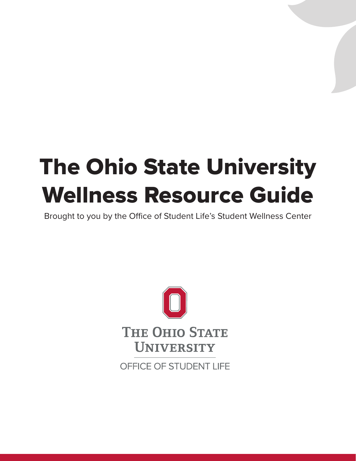# The Ohio State University Wellness Resource Guide

Brought to you by the Office of Student Life's Student Wellness Center

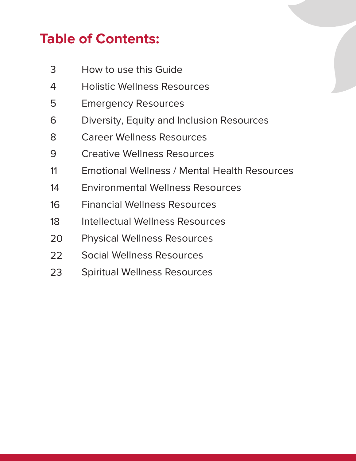# **Table of Contents:**

- 3 [How to use this Guide](#page-2-0)
- 4 [Holistic Wellness Resources](#page-3-0)
- 5 [Emergency Resources](#page-4-0)
- 6 [Diversity, Equity and Inclusion](#page-5-0) Resources
- 8 [Career Wellness Resources](#page-7-0)
- 9 [Creative Wellness Resources](#page-8-0)
- 1 [Emotional Wellness / Mental Health Resources](#page-10-0)
- 1 [Environmental Wellness Resources](#page-13-0)
- 1 [Financial Wellness Resources](#page-15-0)
- 1 [Intellectual Wellness Resources](#page-17-0)
- [Physical Wellness Resources](#page-19-0) 20
- 22 [Social Wellness Resources](#page-21-0)
- 23 [Spiritual Wellness Resources](#page-22-0)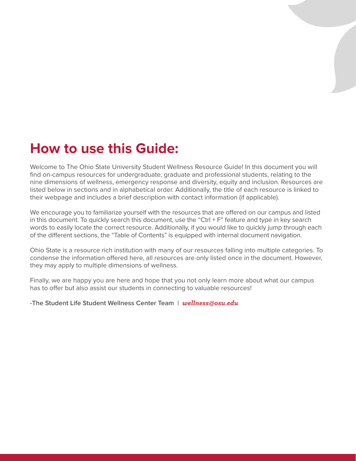# <span id="page-2-0"></span>**How to use this Guide:**

Welcome to The Ohio State University Student Wellness Resource Guide! In this document you will find on-campus resources for undergraduate, graduate and professional students, relating to the nine dimensions of wellness, emergency response and diversity, equity and inclusion. Resources are listed below in sections and in alphabetical order. Additionally, the title of each resource is linked to their webpage and includes a brief description with contact information (if applicable).

We encourage you to familiarize yourself with the resources that are offered on our campus and listed in this document. To quickly search this document, use the "Ctrl  $+ F$ " feature and type in key search words to easily locate the correct resource. Additionally, if you would like to quickly jump through each of the different sections, the "Table of Contents" is equipped with internal document navigation.

Ohio State is a resource rich institution with many of our resources falling into multiple categories. To condense the information offered here, all resources are only listed once in the document. However, they may apply to multiple dimensions of wellness.

Finally, we are happy you are here and hope that you not only learn more about what our campus has to offer but also assist our students in connecting to valuable resources!

**-The Student Life Student Wellness Center Team |** *[wellness@osu.edu](mailto:wellness@osu.edu)*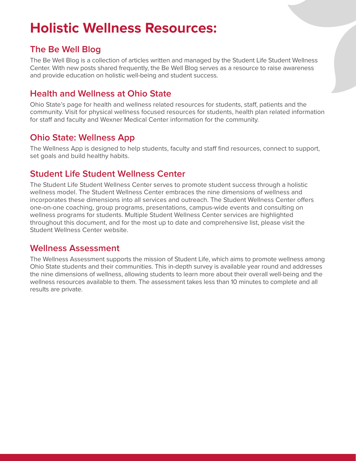# <span id="page-3-0"></span>**Holistic Wellness Resources:**

# **[The Be Well Blog](https://u.osu.edu/studentwellnesscenter/)**

The Be Well Blog is a collection of articles written and managed by the Student Life Student Wellness Center. With new posts shared frequently, the Be Well Blog serves as a resource to raise awareness and provide education on holistic well-being and student success.

# **[Health and Wellness at Ohio State](https://wellness.osu.edu/)**

Ohio State's page for health and wellness related resources for students, staff, patients and the community. Visit for physical wellness focused resources for students, health plan related information for staff and faculty and Wexner Medical Center information for the community.

#### **[Ohio State: Wellness App](https://www.osu.edu/downloads/apps/)**

The Wellness App is designed to help students, faculty and staff find resources, connect to support, set goals and build healthy habits.

#### **[Student Life Student Wellness Center](https://swc.osu.edu/)**

The Student Life Student Wellness Center serves to promote student success through a holistic wellness model. The Student Wellness Center embraces the nine dimensions of wellness and incorporates these dimensions into all services and outreach. The Student Wellness Center offers one-on-one coaching, group programs, presentations, campus-wide events and consulting on wellness programs for students. Multiple Student Wellness Center services are highlighted throughout this document, and for the most up to date and comprehensive list, please visit the Student Wellness Center website.

#### **[Wellness Assessment](https://swc.osu.edu/get-involved/wellness-assessment/)**

The Wellness Assessment supports the mission of Student Life, which aims to promote wellness among Ohio State students and their communities. This in-depth survey is available year round and addresses the nine dimensions of wellness, allowing students to learn more about their overall well-being and the wellness resources available to them. The assessment takes less than 10 minutes to complete and all results are private.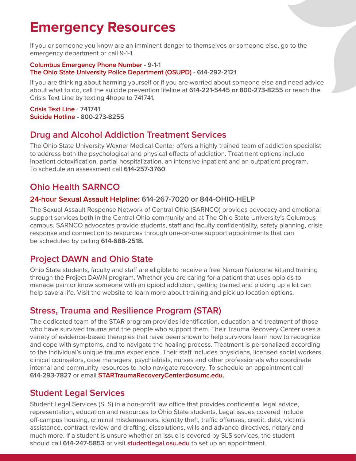# <span id="page-4-0"></span>**Emergency Resources**

If you or someone you know are an imminent danger to themselves or someone else, go to the emergency department or call 9-1-1.

#### **Columbus Emergency Phone Number - 9-1-1 [The Ohio State University Police Department \(OSUPD\)](https://dps.osu.edu/) - 614-292-2121**

If you are thinking about harming yourself or if you are worried about someone else and need advice about what to do, call the suicide prevention lifeline at **614-221-5445 or 800-273-8255** or reach the Crisis Text Line by texting 4hope to 741741.

**[Crisis Text Line](https://www.crisistextline.org/) - 741741 [Suicide Hotline](https://suicidepreventionlifeline.org/) - 800-273-8255**

# **[Drug and Alcohol Addiction Treatment Services](https://wexnermedical.osu.edu/mental-behavioral/addiction-drugs)**

The Ohio State University Wexner Medical Center offers a highly trained team of addiction specialist to address both the psychological and physical effects of addiction. Treatment options include inpatient detoxification, partial hospitalization, an intensive inpatient and an outpatient program. To schedule an assessment call **614-257-3760**.

# **[Ohio Health SARNCO](https://www.ohiohealth.com/community-health/sarnco)**

#### **24-hour Sexual Assault Helpline: 614-267-7020 or 844-OHIO-HELP**

The Sexual Assault Response Network of Central Ohio (SARNCO) provides advocacy and emotional support services both in the Central Ohio community and at The Ohio State University's Columbus campus. SARNCO advocates provide students, staff and faculty confidentiality, safety planning, crisis response and connection to resources through one-on-one support appointments that can be scheduled by calling **614-688-2518.**

# **[Project DAWN and Ohio State](https://wexnermedical.osu.edu/mental-behavioral/projectdawn)**

Ohio State students, faculty and staff are eligible to receive a free Narcan Naloxone kit and training through the Project DAWN program. Whether you are caring for a patient that uses opioids to manage pain or know someone with an opioid addiction, getting trained and picking up a kit can help save a life. Visit the website to learn more about training and pick up location options.

# **[Stress, Trauma and Resilience Program \(STAR\)](https://medicine.osu.edu/departments/psychiatry-and-behavioral-health/star)**

The dedicated team of the STAR program provides identification, education and treatment of those who have survived trauma and the people who support them. Their Trauma Recovery Center uses a variety of evidence-based therapies that have been shown to help survivors learn how to recognize and cope with symptoms, and to navigate the healing process. Treatment is personalized according to the individual's unique trauma experience. Their staff includes physicians, licensed social workers, clinical counselors, case managers, psychiatrists, nurses and other professionals who coordinate internal and community resources to help navigate recovery. To schedule an appointment call **614-293-7827** or email **[STARTraumaRecoveryCenter@osumc.edu](mailto:STARTraumaRecoveryCenter@osumc.edu).**

# **[Student Legal Services](https://studentlegal.osu.edu/)**

Student Legal Services (SLS) in a non-profit law office that provides confidential legal advice, representation, education and resources to Ohio State students. Legal issues covered include off-campus housing, criminal misdemeanors, identity theft, traffic offenses, credit, debt, victim's assistance, contract review and drafting, dissolutions, wills and advance directives, notary and much more. If a student is unsure whether an issue is covered by SLS services, the student should call **614-247-5853** or visit **[studentlegal.osu.edu](https://studentlegal.osu.edu/)** to set up an appointment.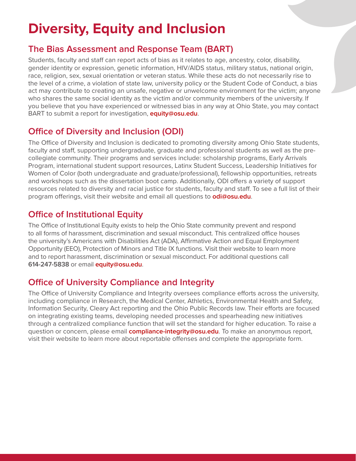# <span id="page-5-0"></span>**Diversity, Equity and Inclusion**

#### **[The Bias Assessment and Response Team \(BART\)](https://studentlife.osu.edu/bias/)**

Students, faculty and staff can report acts of bias as it relates to age, ancestry, color, disability, gender identity or expression, genetic information, HIV/AIDS status, military status, national origin, race, religion, sex, sexual orientation or veteran status. While these acts do not necessarily rise to the level of a crime, a violation of state law, university policy or the Student Code of Conduct, a bias act may contribute to creating an unsafe, negative or unwelcome environment for the victim; anyone who shares the same social identity as the victim and/or community members of the university. If you believe that you have experienced or witnessed bias in any way at Ohio State, you may contact BART to submit a report for investigation, **[equity@osu.edu](mailto:equity@osu.edu)**.

# **[Office of Diversity and Inclusion \(ODI\)](https://odi.osu.edu/)**

The Office of Diversity and Inclusion is dedicated to promoting diversity among Ohio State students, faculty and staff, supporting undergraduate, graduate and professional students as well as the precollegiate community. Their programs and services include: scholarship programs, Early Arrivals Program, international student support resources, Latinx Student Success, Leadership Initiatives for Women of Color (both undergraduate and graduate/professional), fellowship opportunities, retreats and workshops such as the dissertation boot camp. Additionally, ODI offers a variety of support resources related to diversity and racial justice for students, faculty and staff. To see a full list of their program offerings, visit their website and email all questions to **[odi@osu.edu](mailto:odi@osu.edu)**.

# **[Office of Institutional Equity](https://equity.osu.edu/)**

The Office of Institutional Equity exists to help the Ohio State community prevent and respond to all forms of harassment, discrimination and sexual misconduct. This centralized office houses the university's Americans with Disabilities Act (ADA), Affirmative Action and Equal Employment Opportunity (EEO), Protection of Minors and Title IX functions. Visit their website to learn more and to report harassment, discrimination or sexual misconduct. For additional questions call **614-247-5838** or email **[equity@osu.edu](mailto:equity@osu.edu)**.

# **[Office of University Compliance and Integrity](https://compliance.osu.edu/)**

The Office of University Compliance and Integrity oversees compliance efforts across the university, including compliance in Research, the Medical Center, Athletics, Environmental Health and Safety, Information Security, Cleary Act reporting and the Ohio Public Records law. Their efforts are focused on integrating existing teams, developing needed processes and spearheading new initiatives through a centralized compliance function that will set the standard for higher education. To raise a question or concern, please email **[compliance-int](mailto:compliance-integrity@osu.edu)egrity@osu.edu**. To make an anonymous report, visit their website to learn more about reportable offenses and complete the appropriate form.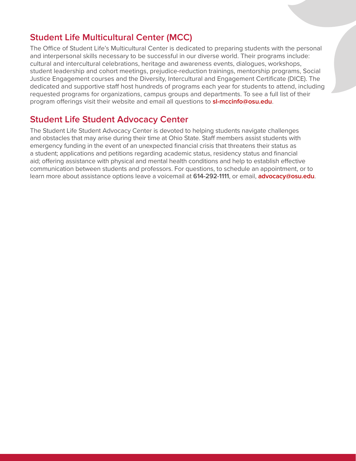#### **[Student Life Multicultural Center \(MCC\)](https://mcc.osu.edu/)**

The Office of Student Life's Multicultural Center is dedicated to preparing students with the personal and interpersonal skills necessary to be successful in our diverse world. Their programs include: cultural and intercultural celebrations, heritage and awareness events, dialogues, workshops, student leadership and cohort meetings, prejudice-reduction trainings, mentorship programs, Social Justice Engagement courses and the Diversity, Intercultural and Engagement Certificate (DICE). The dedicated and supportive staff host hundreds of programs each year for students to attend, including requested programs for organizations, campus groups and departments. To see a full list of their program offerings visit their website and email all questions to **[sl-mccinfo@osu.edu](mailto:sl-mccinfo@osu.edu)**.

### **[Student Life Student Advocacy Center](http://advocacy.osu.edu/)**

The Student Life Student Advocacy Center is devoted to helping students navigate challenges and obstacles that may arise during their time at Ohio State. Staff members assist students with emergency funding in the event of an unexpected financial crisis that threatens their status as a student; applications and petitions regarding academic status, residency status and financial aid; offering assistance with physical and mental health conditions and help to establish effective communication between students and professors. For questions, to schedule an appointment, or to learn more about assistance options leave a voicemail at **614-292-1111**, or email, **[advocacy@osu.edu](mailto:advocacy@osu.edu)**.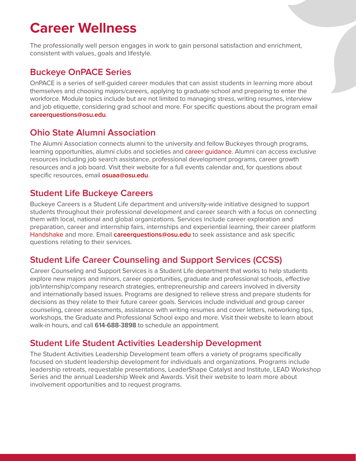# <span id="page-7-0"></span>**Career Wellness**

The professionally well person engages in work to gain personal satisfaction and enrichment, consistent with values, goals and lifestyle.

# **[Buckeye OnPACE Series](https://onpace.osu.edu/)**

OnPACE is a series of self-guided career modules that can assist students in learning more about themselves and choosing majors/careers, applying to graduate school and preparing to enter the workforce. Module topics include but are not limited to managing stress, writing resumes, interview and job etiquette, considering grad school and more. For specific questions about the program email **c[areerquestions@osu.edu](mailto:careerquestions@osu.edu)**.

# **[Ohio State Alumni Association](https://www.osu.edu/alumni/)**

The Alumni Association connects alumni to the university and fellow Buckeyes through programs, learning opportunities, alumni clubs and societies and career quidance. Alumni can access exclusive resources including job search assistance, professional development programs, career growth resources and a job board. Visit their website for a full events calendar and, for questions about specific resources, email **[osuaa@osu.edu](mailto:osuaa@osu.edu)**.

#### **[Student Life Buckeye Careers](https://careers.osu.edu/)**

Buckeye Careers is a Student Life department and university-wide initiative designed to support students throughout their professional development and career search with a focus on connecting them with local, national and global organizations. Services include career exploration and preparation, career and internship fairs, internships and experiential learning, their career platform [Handshake a](https://careers.osu.edu/students/handshake)nd more. Email **[careerquestions@osu.edu](mailto:careerquestions@osu.edu)** to seek assistance and ask specific questions relating to their services.

# **[Student Life Career Counseling and Support Services \(CCSS\)](https://ccss.osu.edu/)**

Career Counseling and Support Services is a Student Life department that works to help students explore new majors and minors, career opportunities, graduate and professional schools, effective job/internship/company research strategies, entrepreneurship and careers involved in diversity and internationally based issues. Programs are designed to relieve stress and prepare students for decisions as they relate to their future career goals. Services include individual and group career counseling, career assessments, assistance with writing resumes and cover letters, networking tips, workshops, the Graduate and Professional School expo and more. Visit their website to learn about walk-in hours, and call **614-688-3898** to schedule an appointment.

# **[Student Life Student Activities Leadership Development](https://activities.osu.edu/involvement/leadership_development/)**

The Student Activities Leadership Development team offers a variety of programs specifically focused on student leadership development for individuals and organizations. Programs include leadership retreats, requestable presentations, LeaderShape Catalyst and Institute, LEAD Workshop Series and the annual Leadership Week and Awards. Visit their website to learn more about involvement opportunities and to request programs.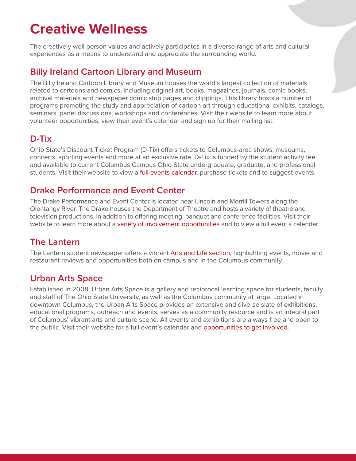# <span id="page-8-0"></span>**Creative Wellness**

The creatively well person values and actively participates in a diverse range of arts and cultural experiences as a means to understand and appreciate the surrounding world.

### **[Billy Ireland Cartoon Library and Museum](https://cartoons.osu.edu/)**

The Billy Ireland Cartoon Library and Museum houses the world's largest collection of materials related to cartoons and comics, including original art, books, magazines, journals, comic books, archival materials and newspaper comic strip pages and clippings. This library hosts a number of programs promoting the study and appreciation of cartoon art through educational exhibits, catalogs, seminars, panel discussions, workshops and conferences. Visit their website to learn more about volunteer opportunities, view their event's calendar and sign up for their mailing list.

# **[D-Tix](https://activities.osu.edu/programs/dtix/)**

Ohio State's Discount Ticket Program (D-Tix) offers tickets to Columbus-area shows, museums, concerts, sporting events and more at an exclusive rate. D-Tix is funded by the student activity fee and available to current Columbus Campus Ohio State undergraduate, graduate, and professional students. Visit their website to view a [full events calendar,](https://activities.osu.edu/programs/dtix/events/) purchase tickets and to suggest events.

# **[Drake Performance and Event Center](https://drake.osu.edu/page/home/)**

The Drake Performance and Event Center is located near Lincoln and Morrill Towers along the Olentangy River. The Drake houses the Department of Theatre and hosts a variety of theatre and television productions, in addition to offering meeting, banquet and conference facilities. Visit their website to learn more about a [variety of involvement](https://theatreandfilm.osu.edu/undergraduate/getting-involved) opportunities and to view a full event's calendar.

# **[The Lantern](https://www.thelantern.com/)**

The Lantern student newspaper offers a vibran[t Arts and Life section,](https://www.thelantern.com/arts-life/) highlighting events, movie and restaurant reviews and opportunities both on campus and in the Columbus community.

# **[Urban Arts Space](https://uas.osu.edu/)**

Established in 2008, Urban Arts Space is a gallery and reciprocal learning space for students, faculty and staff of The Ohio State University, as well as the Columbus community at large. Located in downtown Columbus, the Urban Arts Space provides an extensive and diverse slate of exhibitions, educational programs, outreach and events, serves as a community resource and is an integral part of Columbus' vibrant arts and culture scene. All events and exhibitions are always free and open to the public. Visit their website for a full event's calendar and [opportunities to get involved.](https://uas.osu.edu/get-involved)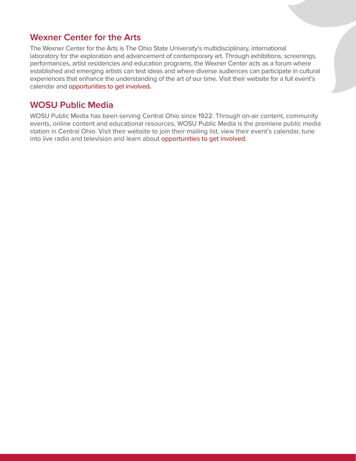#### **[Wexner Center for the Arts](https://wexarts.org/)**

The Wexner Center for the Arts is The Ohio State University's multidisciplinary, international laboratory for the exploration and advancement of contemporary art. Through exhibitions, screenings, performances, artist residencies and education programs, the Wexner Center acts as a forum where established and emerging artists can test ideas and where diverse audiences can participate in cultural experiences that enhance the understanding of the art of our time. Visit their website for a full event's calendar and [opportunities to get involved](https://wexarts.org/jobs-internships-and-volunteering)**.**

#### **[WOSU Public Media](https://wosu.org/)**

WOSU Public Media has been serving Central Ohio since 1922. Through on-air content, community events, online content and educational resources, WOSU Public Media is the premiere public media station in Central Ohio. Visit their website to join their mailing list, view their event's calendar, tune into live radio and television and learn abou[t opportunities to get involved.](https://wosu.org/about/student-work/)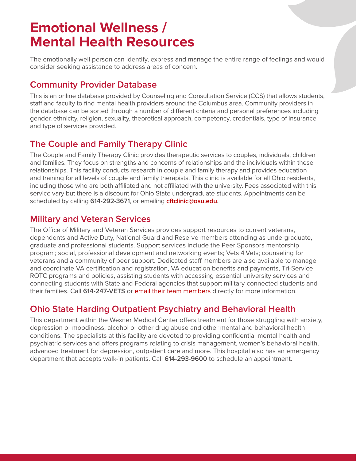# <span id="page-10-0"></span>**Emotional Wellness / Mental Health Resources**

The emotionally well person can identify, express and manage the entire range of feelings and would consider seeking assistance to address areas of concern.

# **[Community Provider Database](https://ccs.osu.edu/cpd/)**

This is an online database provided by Counseling and Consultation Service (CCS) that allows students, staff and faculty to find mental health providers around the Columbus area. Community providers in the database can be sorted through a number of different criteria and personal preferences including gender, ethnicity, religion, sexuality, theoretical approach, competency, credentials, type of insurance and type of services provided.

# **[The Couple and Family Therapy Clinic](https://cftc.ehe.osu.edu/)**

The Couple and Family Therapy Clinic provides therapeutic services to couples, individuals, children and families. They focus on strengths and concerns of relationships and the individuals within these relationships. This facility conducts research in couple and family therapy and provides education and training for all levels of couple and family therapists. This clinic is available for all Ohio residents, including those who are both affiliated and not affiliated with the university. Fees associated with this service vary but there is a discount for Ohio State undergraduate students. Appointments can be scheduled by calling **614-292-3671**, or emailing **[cftclinic@osu.edu.](mailto:cftclinic@osu.edu)**

# **[Military and Veteran Services](http://veterans.osu.edu/)**

The Office of Military and Veteran Services provides support resources to current veterans, dependents and Active Duty, National Guard and Reserve members attending as undergraduate, graduate and professional students. Support services include the Peer Sponsors mentorship program; social, professional development and networking events; Vets 4 Vets; counseling for veterans and a community of peer support. Dedicated staff members are also available to manage and coordinate VA certification and registration, VA education benefits and payments, Tri-Service ROTC programs and policies, assisting students with accessing essential university services and connecting students with State and Federal agencies that support military-connected students and their families. Call **614-247-VETS** or [email their team members d](http://veterans.osu.edu/Pages/Ohio-State)irectly for more information.

# **[Ohio State Harding Outpatient Psychiatry and Behavioral Health](https://medicine.osu.edu/departments/psychiatry-and-behavioral-health)**

This department within the Wexner Medical Center offers treatment for those struggling with anxiety, depression or moodiness, alcohol or other drug abuse and other mental and behavioral health conditions. The specialists at this facility are devoted to providing confidential mental health and psychiatric services and offers programs relating to crisis management, women's behavioral health, advanced treatment for depression, outpatient care and more. This hospital also has an emergency department that accepts walk-in patients. Call **614-293-9600** to schedule an appointment.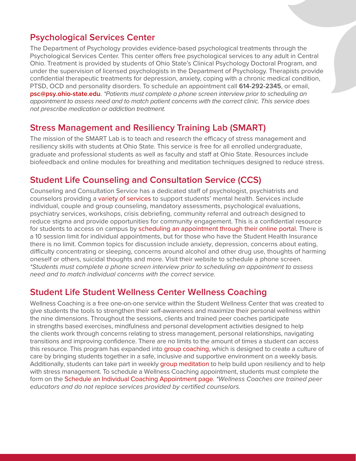# **[Psychological Services Center](https://psychology.osu.edu/psc)**

The Department of Psychology provides evidence-based psychological treatments through the Psychological Services Center. This center offers free psychological services to any adult in Central Ohio. Treatment is provided by students of Ohio State's Clinical Psychology Doctoral Program, and under the supervision of licensed psychologists in the Department of Psychology. Therapists provide confidential therapeutic treatments for depression, anxiety, coping with a chronic medical condition, PTSD, OCD and personality disorders. To schedule an appointment call **614-292-2345**, or email, **[psc@psy.ohio-state.edu](mailto:psc@psy.ohio-state.edu)**. *\*Patients must complete a phone screen interview prior to scheduling an appointment to assess need and to match patient concerns with the correct clinic. This service does not prescribe medication or addiction treatment.*

#### **[Stress Management and Resiliency Training Lab \(SMART\)](https://u.osu.edu/smartlab/)**

The mission of the SMART Lab is to teach and research the efficacy of stress management and resiliency skills with students at Ohio State. This service is free for all enrolled undergraduate, graduate and professional students as well as faculty and staff at Ohio State. Resources include biofeedback and online modules for breathing and meditation techniques designed to reduce stress.

# **[Student Life Counseling and Consultation Service \(CCS\)](https://ccs.osu.edu/)**

Counseling and Consultation Service has a dedicated staff of psychologist, psychiatrists and counselors providing a [variety of services](https://ccs.osu.edu/services) to support students' mental health. Services include individual, couple and group counseling, mandatory assessments, psychological evaluations, psychiatry services, workshops, crisis debriefing, community referral and outreach designed to reduce stigma and provide opportunities for community engagement. This is a confidential resource for students to access on campus by [scheduling an appointment through their online portal.](https://ccs.osu.edu/services/schedule-an-appointment) There is a 10 session limit for individual appointments, but for those who have the Student Health Insurance there is no limit. Common topics for discussion include anxiety, depression, concerns about eating, difficulty concentrating or sleeping, concerns around alcohol and other drug use, thoughts of harming oneself or others, suicidal thoughts and more. Visit their website to schedule a phone screen. *\*Students must complete a phone screen interview prior to scheduling an appointment to assess need and to match individual concerns with the correct service.*

#### **[Student Life Student Wellness Center Wellness Coaching](https://swc.osu.edu/services/wellness-coaching/)**

Wellness Coaching is a free one-on-one service within the Student Wellness Center that was created to give students the tools to strengthen their self-awareness and maximize their personal wellness within the nine dimensions. Throughout the sessions, clients and trained peer coaches participate in strengths based exercises, mindfulness and personal development activities designed to help the clients work through concerns relating to stress management, personal relationships, navigating transitions and improving confidence. There are no limits to the amount of times a student can access this resource. This program has expanded into [group coaching,](https://swc.osu.edu/services/wellness-coaching/schedule-an-appointment/group-wellness-coaching/) which is designed to create a culture of care by bringing students together in a safe, inclusive and supportive environment on a weekly basis. Additionally, students can take part in weekly [group meditation](https://swc.osu.edu/services/wellness-coaching/schedule-an-appointment/group-meditation/) to help build upon resiliency and to help with stress management. To schedule a Wellness Coaching appointment, students must complete the form on th[e Schedule an Individual Coaching Appointment](https://swc.osu.edu/services/wellness-coaching/schedule-an-appointment/) page. *\*Wellness Coaches are trained peer educators and do not replace services provided by certified counselors.*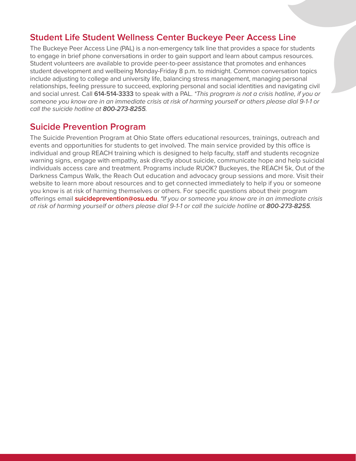#### **[Student Life Student Wellness Center Buckeye Peer Access Line](https://swc.osu.edu/services/buckeye-peer-access-line/)**

The Buckeye Peer Access Line (PAL) is a non-emergency talk line that provides a space for students to engage in brief phone conversations in order to gain support and learn about campus resources. Student volunteers are available to provide peer-to-peer assistance that promotes and enhances student development and wellbeing Monday-Friday 8 p.m. to midnight. Common conversation topics include adjusting to college and university life, balancing stress management, managing personal relationships, feeling pressure to succeed, exploring personal and social identities and navigating civil and social unrest. Call **614-514-3333** to speak with a PAL. *\*This program is not a crisis hotline, if you or someone you know are in an immediate crisis at risk of harming yourself or others please dial 9-1-1 or call the suicide hotline at 800-273-8255.*

#### **[Suicide Prevention Program](https://suicideprevention.osu.edu/)**

The Suicide Prevention Program at Ohio State offers educational resources, trainings, outreach and events and opportunities for students to get involved. The main service provided by this office is individual and group REACH training which is designed to help faculty, staff and students recognize warning signs, engage with empathy, ask directly about suicide, communicate hope and help suicidal individuals access care and treatment. Programs include RUOK? Buckeyes, the REACH 5k, Out of the Darkness Campus Walk, the Reach Out education and advocacy group sessions and more. Visit their website to learn more about resources and to get connected immediately to help if you or someone you know is at risk of harming themselves or others. For specific questions about their program offerings email **[suicideprevention@osu.edu](mailto:suicideprevention@osu.edu)**. *\*If you or someone you know are in an immediate crisis at risk of harming yourself or others please dial 9-1-1 or call the suicide hotline at 800-273-8255.*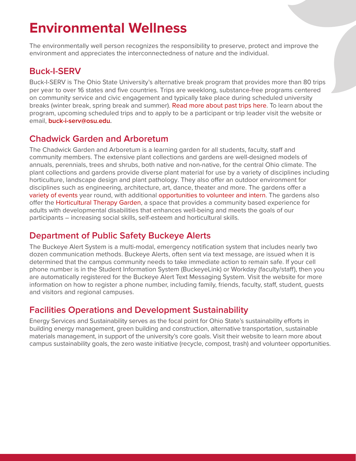# <span id="page-13-0"></span>**Environmental Wellness**

The environmentally well person recognizes the responsibility to preserve, protect and improve the environment and appreciates the interconnectedness of nature and the individual.

# **[Buck-I-SERV](https://buckiserv.osu.edu/)**

Buck-I-SERV is The Ohio State University's alternative break program that provides more than 80 trips per year to over 16 states and five countries. Trips are weeklong, substance-free programs centered on community service and civic engagement and typically take place during scheduled university breaks (winter break, spring break and summer)[. Read more about past trips here.](https://buckiserv.osu.edu/pasttrips) To learn about the program, upcoming scheduled trips and to apply to be a participant or trip leader visit the website or email, **[buck-i-serv@osu.edu.](mailto:buck-i-serv@osu.edu)** 

# **[Chadwick Garden and Arboretum](https://chadwickarboretum.osu.edu/)**

The Chadwick Garden and Arboretum is a learning garden for all students, faculty, staff and community members. The extensive plant collections and gardens are well-designed models of annuals, perennials, trees and shrubs, both native and non-native, for the central Ohio climate. The plant collections and gardens provide diverse plant material for use by a variety of disciplines including horticulture, landscape design and plant pathology. They also offer an outdoor environment for disciplines such as engineering, architecture, art, dance, theater and more. The gardens offer a [variety of events](https://chadwickarboretum.osu.edu/events) year round, with additional [opportunities to volunteer and intern.](https://chadwickarboretum.osu.edu/join-us) The gardens also offer th[e Horticultural Therapy Garden,](https://chadwickarboretum.osu.edu/our-gardens/learning-gardens/horticultural-therapy-garden) a space that provides a community based experience for adults with developmental disabilities that enhances well-being and meets the goals of our participants – increasing social skills, self-esteem and horticultural skills.

# **[Department of Public Safety Buckeye Alerts](https://dps.osu.edu/news/2016/11/30/register-receive-buckeye-alerts)**

The Buckeye Alert System is a multi-modal, emergency notification system that includes nearly two dozen communication methods. Buckeye Alerts, often sent via text message, are issued when it is determined that the campus community needs to take immediate action to remain safe. If your cell phone number is in the Student Information System (BuckeyeLink) or Workday (faculty/staff), then you are automatically registered for the Buckeye Alert Text Messaging System. Visit the website for more information on how to register a phone number, including family, friends, faculty, staff, student, guests and visitors and regional campuses.

# **[Facilities Operations and Development Sustainability](https://fod.osu.edu/sustainability)**

Energy Services and Sustainability serves as the focal point for Ohio State's sustainability efforts in building energy management, green building and construction, alternative transportation, sustainable materials management, in support of the university's core goals. Visit their website to learn more about campus sustainability goals, the zero waste initiative (recycle, compost, trash) and volunteer opportunities.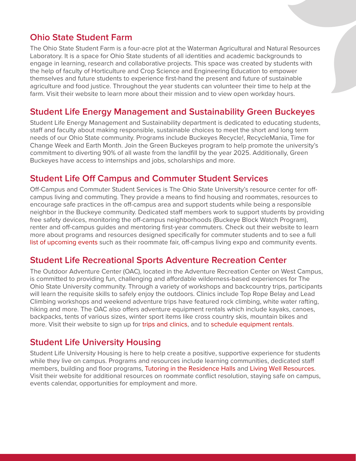### **[Ohio State Student Farm](https://hcs.osu.edu/undergraduate/student-clubs/ohio-state-student-farm)**

The Ohio State Student Farm is a four-acre plot at the Waterman Agricultural and Natural Resources Laboratory. It is a space for Ohio State students of all identities and academic backgrounds to engage in learning, research and collaborative projects. This space was created by students with the help of faculty of Horticulture and Crop Science and Engineering Education to empower themselves and future students to experience first-hand the present and future of sustainable agriculture and food justice. Throughout the year students can volunteer their time to help at the farm. Visit their website to learn more about their mission and to view open workday hours.

#### **[Student Life Energy Management and Sustainability Green Buckeyes](https://greenbuckeyes.osu.edu/)**

Student Life Energy Management and Sustainability department is dedicated to educating students, staff and faculty about making responsible, sustainable choices to meet the short and long term needs of our Ohio State community. Programs include Buckeyes Recycle!, RecycleMania, Time for Change Week and Earth Month. Join the Green Buckeyes program to help promote the university's commitment to diverting 90% of all waste from the landfill by the year 2025. Additionally, Green Buckeyes have access to internships and jobs, scholarships and more.

#### **[Student Life Off Campus and Commuter Student Services](https://offcampus.osu.edu/)**

Off-Campus and Commuter Student Services is The Ohio State University's resource center for offcampus living and commuting. They provide a means to find housing and roommates, resources to encourage safe practices in the off-campus area and support students while being a responsible neighbor in the Buckeye community. Dedicated staff members work to support students by providing free safety devices, monitoring the off-campus neighborhoods (Buckeye Block Watch Program), renter and off-campus guides and mentoring first-year commuters. Check out their website to learn more about programs and resources designed specifically for commuter students and to see a full [list of upcoming events](https://offcampus.osu.edu/programs/) such as their roommate fair, off-campus living expo and community events.

#### **[Student Life Recreational Sports Adventure Recreation Center](https://recsports.osu.edu/programs/outdoor-recreation)**

The Outdoor Adventure Center (OAC), located in the Adventure Recreation Center on West Campus, is committed to providing fun, challenging and affordable wilderness-based experiences for The Ohio State University community. Through a variety of workshops and backcountry trips, participants will learn the requisite skills to safely enjoy the outdoors. Clinics include Top Rope Belay and Lead Climbing workshops and weekend adventure trips have featured rock climbing, white water rafting, hiking and more. The OAC also offers adventure equipment rentals which include kayaks, canoes, backpacks, tents of various sizes, winter sport items like cross country skis, mountain bikes and more. Visit their website to sign up fo[r trips and clinics,](https://recsports.osu.edu/programs/outdoor-recreation/adventure-trips-and-clinics) and t[o schedule equipment rentals.](https://recsports.osu.edu/programs/outdoor-recreation/outdoor-adventure-equipment-rentals)

#### **[Student Life University Housing](https://housing.osu.edu/)**

Student Life University Housing is here to help create a positive, supportive experience for students while they live on campus. Programs and resources include learning communities, dedicated staff members, building and floor programs, [Tutoring in the Residence Halls](https://housing.osu.edu/resources/tutoring-in-the-residence-halls1/) an[d Living Well Resources.](https://housing.osu.edu/living-well/) Visit their website for additional resources on roommate conflict resolution, staying safe on campus, events calendar, opportunities for employment and more.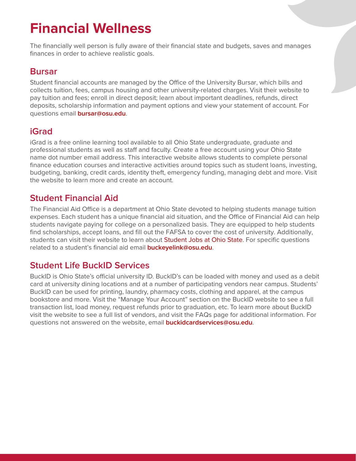# <span id="page-15-0"></span>**Financial Wellness**

The financially well person is fully aware of their financial state and budgets, saves and manages finances in order to achieve realistic goals.

# **[Bursar](https://busfin.osu.edu/bursar)**

Student financial accounts are managed by the Office of the University Bursar, which bills and collects tuition, fees, campus housing and other university-related charges. Visit their website to pay tuition and fees; enroll in direct deposit; learn about important deadlines, refunds, direct deposits, scholarship information and payment options and view your statement of account. For questions email **[bursar@osu.edu](mailto:bursar@osu.edu)**.

# **[iGrad](https://osu.igrad.com/)**

iGrad is a free online learning tool available to all Ohio State undergraduate, graduate and professional students as well as staff and faculty. Create a free account using your Ohio State name dot number email address. This interactive website allows students to complete personal finance education courses and interactive activities around topics such as student loans, investing, budgeting, banking, credit cards, identity theft, emergency funding, managing debt and more. Visit the website to learn more and create an account.

# **[Student Financial Aid](https://sfa.osu.edu/)**

The Financial Aid Office is a department at Ohio State devoted to helping students manage tuition expenses. Each student has a unique financial aid situation, and the Office of Financial Aid can help students navigate paying for college on a personalized basis. They are equipped to help students find scholarships, accept loans, and fill out the FAFSA to cover the cost of university. Additionally, students can visit their website to learn abou[t Student Jobs at Ohio State.](https://sfa.osu.edu/jobs) For specific questions related to a student's financial aid email **[buckeyelink@osu.edu](mailto:buckeyelink@osu.edu)**.

# **[Student Life BuckID Services](https://buckid.osu.edu/)**

BuckID is Ohio State's official university ID. BuckID's can be loaded with money and used as a debit card at university dining locations and at a number of participating vendors near campus. Students' BuckID can be used for printing, laundry, pharmacy costs, clothing and apparel, at the campus bookstore and more. Visit the "Manage Your Account" section on the BuckID website to see a full transaction list, load money, request refunds prior to graduation, etc. To learn more about BuckID visit the website to see a full list of vendors, and visit the FAQs page for additional information. For questions not answered on the website, email **[buckidcardservices@osu.edu](mailto:buckidcardservices@osu.edu)**.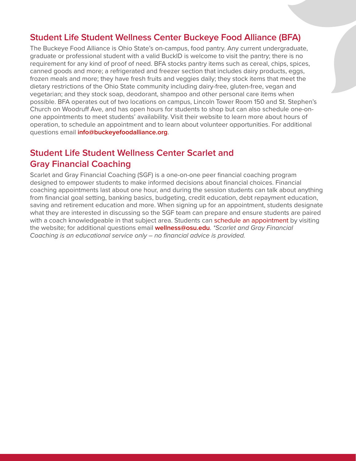#### **[Student Life Student Wellness Center Buckeye Food Alliance \(BFA\)](https://www.buckeyefoodalliance.org/)**

The Buckeye Food Alliance is Ohio State's on-campus, food pantry. Any current undergraduate, graduate or professional student with a valid BuckID is welcome to visit the pantry; there is no requirement for any kind of proof of need. BFA stocks pantry items such as cereal, chips, spices, canned goods and more; a refrigerated and freezer section that includes dairy products, eggs, frozen meals and more; they have fresh fruits and veggies daily; they stock items that meet the dietary restrictions of the Ohio State community including dairy-free, gluten-free, vegan and vegetarian; and they stock soap, deodorant, shampoo and other personal care items when possible. BFA operates out of two locations on campus, Lincoln Tower Room 150 and St. Stephen's Church on Woodruff Ave, and has open hours for students to shop but can also schedule one-onone appointments to meet students' availability. Visit their website to learn more about hours of operation, to schedule an appointment and to learn about volunteer opportunities. For additional questions email **[info@buckeyefoodalliance.org](mailto:info@buckeyefoodalliance.org)**.

# **[Student Life Student Wellness Center Scarlet and](https://swc.osu.edu/services/financial-education/financial-coaching/)  Gray Financial Coaching**

Scarlet and Gray Financial Coaching (SGF) is a one-on-one peer financial coaching program designed to empower students to make informed decisions about financial choices. Financial coaching appointments last about one hour, and during the session students can talk about anything from financial goal setting, banking basics, budgeting, credit education, debt repayment education, saving and retirement education and more. When signing up for an appointment, students designate what they are interested in discussing so the SGF team can prepare and ensure students are paired with a coach knowledgeable in that subject area. Students can [schedule an appointment](https://swc.osu.edu/services/financial-education/schedule-an-appointment/) by visiting the website; for additional questions email **[wellness@osu.edu](mailto:wellness@osu.edu)**. *\*Scarlet and Gray Financial Coaching is an educational service only – no financial advice is provided.*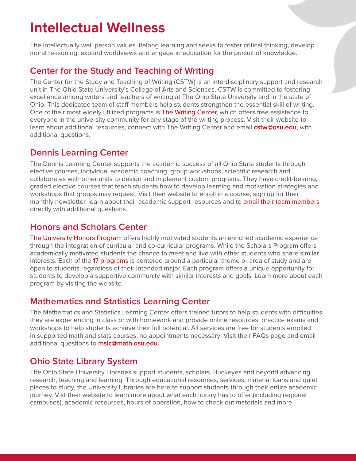# <span id="page-17-0"></span>**Intellectual Wellness**

The intellectually well person values lifelong learning and seeks to foster critical thinking, develop moral reasoning, expand worldviews and engage in education for the pursuit of knowledge.

# **[Center for the Study and Teaching of Writing](https://cstw.osu.edu/)**

The Center for the Study and Teaching of Writing (CSTW) is an interdisciplinary support and research unit in The Ohio State University's College of Arts and Sciences. CSTW is committed to fostering excellence among writers and teachers of writing at The Ohio State University and in the state of Ohio. This dedicated team of staff members help students strengthen the essential skill of writing. One of their most widely utilized programs is [The Writing Center,](https://cstw.osu.edu/our-programs/writing-center) which offers free assistance to everyone in the university community for any stage of the writing process. Visit their website to learn about additional resources, connect with The Writing Center and email **[cstw@osu.edu](mailto:cstw@osu.edu)**, with additional questions.

# **[Dennis Learning Center](https://dennislearningcenter.osu.edu/)**

The Dennis Learning Center supports the academic success of all Ohio State students through elective courses, individual academic coaching, group workshops, scientific research and collaborates with other units to design and implement custom programs. They have credit-bearing, graded elective courses that teach students how to develop learning and motivation strategies and workshops that groups may request. Visit their website to enroll in a course, sign up for their monthly newsletter, learn about their academic support resources and to [email their team members](https://dennislearningcenter.osu.edu/staff/) directly with additional questions.

### **[Honors and Scholars Center](https://honors-scholars.osu.edu/)**

[The University Honors Program o](https://honors-scholars.osu.edu/honors)ffers highly motivated students an enriched academic experience through the integration of curricular and co-curricular programs. While the Scholars Program offers academically motivated students the chance to meet and live with other students who share similar interests. Each of the [17 programs](https://honors-scholars.osu.edu/scholars/programs) is centered around a particular theme or area of study and are open to students regardless of their intended major. Each program offers a unique opportunity for students to develop a supportive community with similar interests and goals. Learn more about each program by visiting the website.

# **[Mathematics and Statistics Learning Center](https://mslc.osu.edu/)**

The Mathematics and Statistics Learning Center offers trained tutors to help students with difficulties they are experiencing in class or with homework and provide online resources, practice exams and workshops to help students achieve their full potential. All services are free for students enrolled in supported math and stats courses, no appointments necessary. Visit their FAQs page and email additional questions to **[mslc@math.osu.edu.](mailto:mslc@math.osu.edu)** 

# **[Ohio State Library System](https://library.osu.edu/)**

The Ohio State University Libraries support students, scholars, Buckeyes and beyond advancing research, teaching and learning. Through educational resources, services, material loans and quiet places to study, the University Libraries are here to support students through their entire academic journey. Vist their website to learn more about what each library has to offer (including regional campuses), academic resources, hours of operation, how to check out materials and more.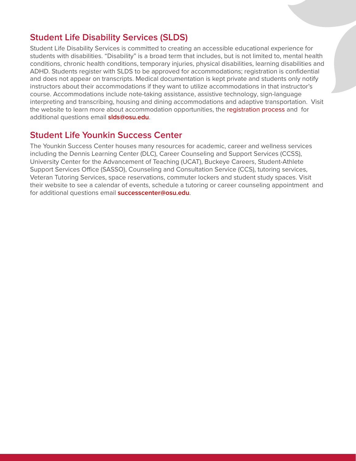#### **[Student Life Disability Services \(SLDS\)](https://slds.osu.edu/)**

Student Life Disability Services is committed to creating an accessible educational experience for students with disabilities. "Disability" is a broad term that includes, but is not limited to, mental health conditions, chronic health conditions, temporary injuries, physical disabilities, learning disabilities and ADHD. Students register with SLDS to be approved for accommodations; registration is confidential and does not appear on transcripts. Medical documentation is kept private and students only notify instructors about their accommodations if they want to utilize accommodations in that instructor's course. Accommodations include note-taking assistance, assistive technology, sign-language interpreting and transcribing, housing and dining accommodations and adaptive transportation. Visit the website to learn more about accommodation opportunities, th[e registration process](https://slds.osu.edu/how-to-register/registration-process/) and for additional questions email **[slds@osu.edu](mailto:slds@osu.edu)**.

#### **[Student Life Younkin Success Center](http://younkinsuccess.osu.edu/)**

The Younkin Success Center houses many resources for academic, career and wellness services including the Dennis Learning Center (DLC), Career Counseling and Support Services (CCSS), University Center for the Advancement of Teaching (UCAT), Buckeye Careers, Student-Athlete Support Services Office (SASSO), Counseling and Consultation Service (CCS), tutoring services, Veteran Tutoring Services, space reservations, commuter lockers and student study spaces. Visit their website to see a calendar of events, schedule a tutoring or career counseling appointment and for additional questions email **[successcenter@osu.edu](mailto:successcenter@osu.edu)**.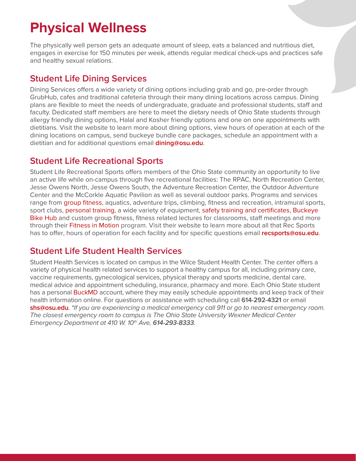# <span id="page-19-0"></span>**Physical Wellness**

The physically well person gets an adequate amount of sleep, eats a balanced and nutritious diet, engages in exercise for 150 minutes per week, attends regular medical check-ups and practices safe and healthy sexual relations.

# **[Student Life Dining Services](https://dining.osu.edu/)**

Dining Services offers a wide variety of dining options including grab and go, pre-order through GrubHub, cafes and traditional cafeteria through their many dining locations across campus. Dining plans are flexible to meet the needs of undergraduate, graduate and professional students, staff and faculty. Dedicated staff members are here to meet the dietary needs of Ohio State students through allergy friendly dining options, Halal and Kosher friendly options and one on one appointments with dietitians. Visit the website to learn more about dining options, view hours of operation at each of the dining locations on campus, send buckeye bundle care packages, schedule an appointment with a dietitian and for additional questions email **[dining@osu.edu](mailto:dining@osu.edu)**.

# **[Student Life Recreational Sports](https://recsports.osu.edu/)**

Student Life Recreational Sports offers members of the Ohio State community an opportunity to live an active life while on-campus through five recreational facilities: The RPAC, North Recreation Center, Jesse Owens North, Jesse Owens South, the Adventure Recreation Center, the Outdoor Adventure Center and the McCorkle Aquatic Pavilion as well as several outdoor parks. Programs and services range from [group fitness,](https://recsports.osu.edu/fms/groupfitness) aquatics, adventure trips, climbing, fitness and recreation, intramural sports, sport clubs, [personal training,](https://recsports.osu.edu/services-outreach/personal-training) a wide variety of equipment, [safety training and certificates,](https://recsports.osu.edu/services-outreach/safety-training-and-certifications) [Buckeye](https://recsports.osu.edu/services-outreach/buckeye-bike-hub)  [Bike Hub](https://recsports.osu.edu/services-outreach/buckeye-bike-hub) and custom group fitness, fitness related lectures for classrooms, staff meetings and more through thei[r Fitness in Motion p](https://recsports.osu.edu/services-outreach/fitness-in-motion)rogram. Visit their website to learn more about all that Rec Sports has to offer, hours of operation for each facility and for specific questions email **[recsports@osu.edu](mailto:recsports@osu.edu)**.

# **[Student Life Student Health Services](https://shs.osu.edu/)**

Student Health Services is located on campus in the Wilce Student Health Center. The center offers a variety of physical health related services to support a healthy campus for all, including primary care, vaccine requirements, gynecological services, physical therapy and sports medicine, dental care, medical advice and appointment scheduling, insurance, pharmacy and more. Each Ohio State student has a personal **BuckMD** account, where they may easily schedule appointments and keep track of their health information online. For questions or assistance with scheduling call **614-292-4321** or email **[shs@osu.edu](mailto:shs@osu.edu)**. *\*If you are experiencing a medical emergency call 911 or go to nearest emergency room. The closest emergency room to campus is The Ohio State University Wexner Medical Center Emergency Department at 410 W. 10th Ave, 614-293-8333.*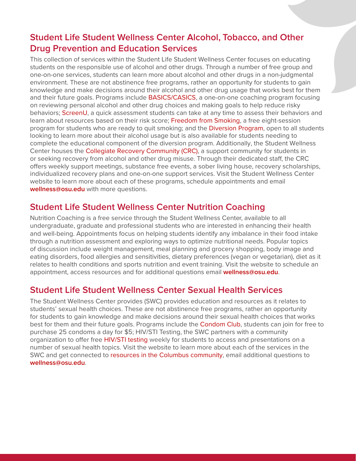# **[Student Life Student Wellness Center Alcohol, Tobacco, and Other](https://swc.osu.edu/services/alcohol-tobacco-and-other-drug-prevention/)  Drug Prevention and Education Services**

This collection of services within the Student Life Student Wellness Center focuses on educating students on the responsible use of alcohol and other drugs. Through a number of free group and one-on-one services, students can learn more about alcohol and other drugs in a non-judgmental environment. These are not abstinence free programs, rather an opportunity for students to gain knowledge and make decisions around their alcohol and other drug usage that works best for them and their future goals. Programs includ[e BASICS/CASICS,](https://swc.osu.edu/services/alcohol-tobacco-and-other-drug-prevention/basics-casics/) a one-on-one coaching program focusing on reviewing personal alcohol and other drug choices and making goals to help reduce risky behaviors; [ScreenU,](https://swc.osu.edu/services/alcohol-tobacco-and-other-drug-prevention/resources/participate-in-screenu/) a quick assessment students can take at any time to assess their behaviors and learn about resources based on their risk score[; Freedom from Smoking,](https://swc.osu.edu/services/alcohol-tobacco-and-other-drug-prevention/tobacco-free-osu/) a free eight-session program for students who are ready to quit smoking; and the [Diversion Program,](https://swc.osu.edu/services/alcohol-tobacco-and-other-drug-prevention/the-ohio-state-university-diversion-program/) open to all students looking to learn more about their alcohol usage but is also available for students needing to complete the educational component of the diversion program. Additionally, the Student Wellness Center houses th[e Collegiate Recovery Community \(CRC\),](https://swc.osu.edu/services/collegiate-recovery-community/) a support community for students in or seeking recovery from alcohol and other drug misuse. Through their dedicated staff, the CRC offers weekly support meetings, substance free events, a sober living house, recovery scholarships, individualized recovery plans and one-on-one support services. Visit the Student Wellness Center website to learn more about each of these programs, schedule appointments and email **[wellness@osu.edu](mailto:wellness@osu.edu)** with more questions.

#### **[Student Life Student Wellness Center Nutrition Coaching](https://swc.osu.edu/services/nutrition-education/nutrition-coaching/)**

Nutrition Coaching is a free service through the Student Wellness Center, available to all undergraduate, graduate and professional students who are interested in enhancing their health and well-being. Appointments focus on helping students identify any imbalance in their food intake through a nutrition assessment and exploring ways to optimize nutritional needs. Popular topics of discussion include weight management, meal planning and grocery shopping, body image and eating disorders, food allergies and sensitivities, dietary preferences (vegan or vegetarian), diet as it relates to health conditions and sports nutrition and event training. Visit the website to schedule an appointment, access resources and for additional questions email **[wellness@osu.edu](mailto:wellness@osu.edu)**.

#### **[Student Life Student Wellness Center Sexual Health Services](https://swc.osu.edu/services/sexual-health/)**

The Student Wellness Center provides (SWC) provides education and resources as it relates to students' sexual health choices. These are not abstinence free programs, rather an opportunity for students to gain knowledge and make decisions around their sexual health choices that works best for them and their future goals. Programs include th[e Condom Club,](https://swc.osu.edu/services/sexual-health/condom-club/) students can join for free to purchase 25 condoms a day for \$5; HIV/STI Testing, the SWC partners with a community organization to offer fre[e HIV/STI testing](https://swc.osu.edu/services/sexual-health/hiv-sti-testing/) weekly for students to access and presentations on a number of sexual health topics. Visit the website to learn more about each of the services in the SWC and get connected t[o resources in the Columbus community,](https://swc.osu.edu/services/sexual-health/resources/) email additional questions to **[wellness@osu.edu](mailto:wellness@osu.edu)**.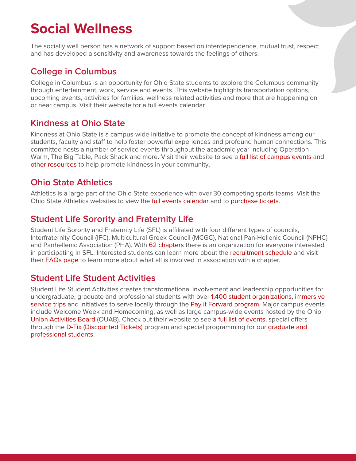# <span id="page-21-0"></span>**Social Wellness**

The socially well person has a network of support based on interdependence, mutual trust, respect and has developed a sensitivity and awareness towards the feelings of others.

### **[College in Columbus](https://collegeincbus.osu.edu/)**

College in Columbus is an opportunity for Ohio State students to explore the Columbus community through entertainment, work, service and events. This website highlights transportation options, upcoming events, activities for families, wellness related activities and more that are happening on or near campus. Visit their website for a full events calendar.

# **[Kindness at Ohio State](https://kind.osu.edu/)**

Kindness at Ohio State is a campus-wide initiative to promote the concept of kindness among our students, faculty and staff to help foster powerful experiences and profound human connections. This committee hosts a number of service events throughout the academic year including Operation Warm, The Big Table, Pack Shack and more. Visit their website to see [a full list of campus events](https://kind.osu.edu/serve/events-and-opportunities) and [other resources](https://kind.osu.edu/resources) to help promote kindness in your community.

#### **[Ohio State Athletics](https://ohiostatebuckeyes.com/)**

Athletics is a large part of the Ohio State experience with over 30 competing sports teams. Visit the Ohio State Athletics websites to view th[e full events calendar](https://ohiostatebuckeyes.com/all-sports-schedule/) and to [purchase tickets.](https://ohiostatebuckeyes.com/tickets/)

#### **[Student Life Sorority and Fraternity Life](https://sfl.osu.edu/)**

Student Life Sorority and Fraternity Life (SFL) is affiliated with four different types of councils, Interfraternity Council (IFC), Multicultural Greek Council (MCGC), National Pan-Hellenic Council (NPHC) and Panhellenic Association (PHA). Wit[h 62 chapters](https://sfl.osu.edu/about_us/chapters/) there is an organization for everyone interested in participating in SFL. Interested students can learn more about the [recruitment schedule](https://sfl.osu.edu/prospective_members/) and visit their **FAQs page** to learn more about what all is involved in association with a chapter.

# **[Student Life Student Activities](https://activities.osu.edu/)**

Student Life Student Activities creates transformational involvement and leadership opportunities for undergraduate, graduate and professional students with ove[r 1,400 student organizations,](https://activities.osu.edu/involvement/student_organizations/) immersive [service trips a](https://activities.osu.edu/involvement/service_outreach/)nd initiatives to serve locally through th[e Pay it Forward program.](https://activities.osu.edu/involvement/service_outreach/pay_it_forward/) Major campus events include Welcome Week and Homecoming, as well as large campus-wide events hosted by the Ohio [Union Activities Board \(O](https://ouab.osu.edu/)UAB). Check out their website to see [a full list of events,](https://activities.osu.edu/programs/signature_events) special offers through th[e D-Tix \(Discounted Tickets\)](https://activities.osu.edu/programs/dtix) program and special programming for our graduate and [professional students.](https://activities.osu.edu/involvement/graduate_and_professional/)